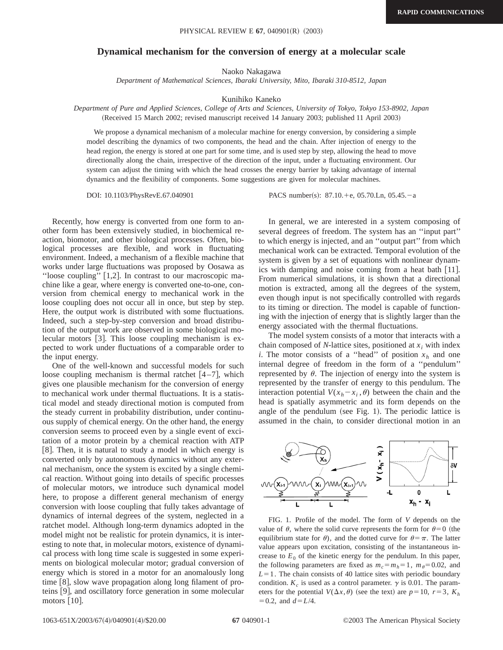## **Dynamical mechanism for the conversion of energy at a molecular scale**

Naoko Nakagawa

*Department of Mathematical Sciences, Ibaraki University, Mito, Ibaraki 310-8512, Japan*

Kunihiko Kaneko

*Department of Pure and Applied Sciences, College of Arts and Sciences, University of Tokyo, Tokyo 153-8902, Japan* (Received 15 March 2002; revised manuscript received 14 January 2003; published 11 April 2003)

We propose a dynamical mechanism of a molecular machine for energy conversion, by considering a simple model describing the dynamics of two components, the head and the chain. After injection of energy to the head region, the energy is stored at one part for some time, and is used step by step, allowing the head to move directionally along the chain, irrespective of the direction of the input, under a fluctuating environment. Our system can adjust the timing with which the head crosses the energy barrier by taking advantage of internal dynamics and the flexibility of components. Some suggestions are given for molecular machines.

DOI: 10.1103/PhysRevE.67.040901 PACS number(s): 87.10.+e, 05.70.Ln, 05.45.-a

Recently, how energy is converted from one form to another form has been extensively studied, in biochemical reaction, biomotor, and other biological processes. Often, biological processes are flexible, and work in fluctuating environment. Indeed, a mechanism of a flexible machine that works under large fluctuations was proposed by Oosawa as "loose coupling"  $[1,2]$ . In contrast to our macroscopic machine like a gear, where energy is converted one-to-one, conversion from chemical energy to mechanical work in the loose coupling does not occur all in once, but step by step. Here, the output work is distributed with some fluctuations. Indeed, such a step-by-step conversion and broad distribution of the output work are observed in some biological molecular motors [3]. This loose coupling mechanism is expected to work under fluctuations of a comparable order to the input energy.

One of the well-known and successful models for such loose coupling mechanism is thermal ratchet  $[4-7]$ , which gives one plausible mechanism for the conversion of energy to mechanical work under thermal fluctuations. It is a statistical model and steady directional motion is computed from the steady current in probability distribution, under continuous supply of chemical energy. On the other hand, the energy conversion seems to proceed even by a single event of excitation of a motor protein by a chemical reaction with ATP [8]. Then, it is natural to study a model in which energy is converted only by autonomous dynamics without any external mechanism, once the system is excited by a single chemical reaction. Without going into details of specific processes of molecular motors, we introduce such dynamical model here, to propose a different general mechanism of energy conversion with loose coupling that fully takes advantage of dynamics of internal degrees of the system, neglected in a ratchet model. Although long-term dynamics adopted in the model might not be realistic for protein dynamics, it is interesting to note that, in molecular motors, existence of dynamical process with long time scale is suggested in some experiments on biological molecular motor; gradual conversion of energy which is stored in a motor for an anomalously long time  $[8]$ , slow wave propagation along long filament of proteins [9], and oscillatory force generation in some molecular motors  $[10]$ .

In general, we are interested in a system composing of several degrees of freedom. The system has an ''input part'' to which energy is injected, and an ''output part'' from which mechanical work can be extracted. Temporal evolution of the system is given by a set of equations with nonlinear dynamics with damping and noise coming from a heat bath [11]. From numerical simulations, it is shown that a directional motion is extracted, among all the degrees of the system, even though input is not specifically controlled with regards to its timing or direction. The model is capable of functioning with the injection of energy that is slightly larger than the energy associated with the thermal fluctuations.

The model system consists of a motor that interacts with a chain composed of  $N$ -lattice sites, positioned at  $x_i$  with index *i*. The motor consists of a "head" of position  $x_h$  and one internal degree of freedom in the form of a ''pendulum'' represented by  $\theta$ . The injection of energy into the system is represented by the transfer of energy to this pendulum. The interaction potential  $V(x_h - x_i, \theta)$  between the chain and the head is spatially asymmetric and its form depends on the angle of the pendulum (see Fig. 1). The periodic lattice is assumed in the chain, to consider directional motion in an



FIG. 1. Profile of the model. The form of *V* depends on the value of  $\theta$ , where the solid curve represents the form for  $\theta=0$  (the equilibrium state for  $\theta$ ), and the dotted curve for  $\theta = \pi$ . The latter value appears upon excitation, consisting of the instantaneous increase to  $E_0$  of the kinetic energy for the pendulum. In this paper, the following parameters are fixed as  $m_c = m_h = 1$ ,  $m_\theta = 0.02$ , and  $L=1$ . The chain consists of 40 lattice sites with periodic boundary condition.  $K_c$  is used as a control parameter.  $\gamma$  is 0.01. The parameters for the potential  $V(\Delta x, \theta)$  (see the text) are  $p=10$ ,  $r=3$ ,  $K_h$  $= 0.2$ , and  $d = L/4$ .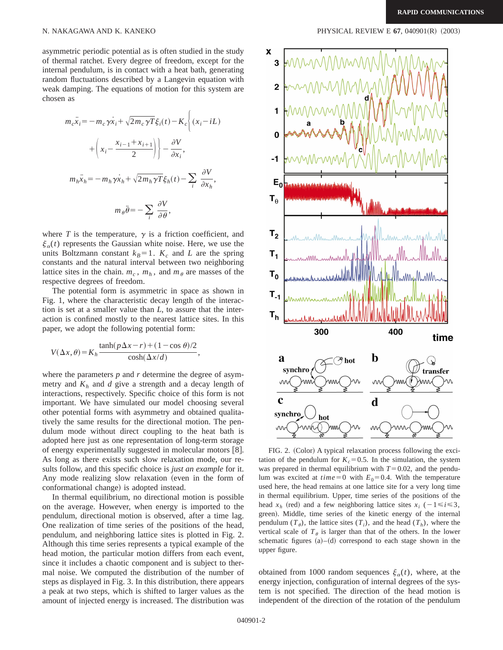asymmetric periodic potential as is often studied in the study of thermal ratchet. Every degree of freedom, except for the internal pendulum, is in contact with a heat bath, generating random fluctuations described by a Langevin equation with weak damping. The equations of motion for this system are chosen as

$$
m_c \ddot{x}_i = -m_c \gamma \dot{x}_i + \sqrt{2m_c \gamma T} \xi_i(t) - K_c \left\{ (x_i - iL) + \left( x_i - \frac{x_{i-1} + x_{i+1}}{2} \right) - \frac{\partial V}{\partial x_i}, \right\}
$$

$$
m_h \ddot{x}_h = -m_h \gamma \dot{x}_h + \sqrt{2m_h \gamma T} \xi_h(t) - \sum_i \frac{\partial V}{\partial x_h},
$$

$$
m_\theta \ddot{\theta} = -\sum_i \frac{\partial V}{\partial \theta},
$$

where  $T$  is the temperature,  $\gamma$  is a friction coefficient, and  $\xi_{\alpha}(t)$  represents the Gaussian white noise. Here, we use the units Boltzmann constant  $k_B=1$ .  $K_c$  and *L* are the spring constants and the natural interval between two neighboring lattice sites in the chain.  $m_c$ ,  $m_h$ , and  $m_\theta$  are masses of the respective degrees of freedom.

The potential form is asymmetric in space as shown in Fig. 1, where the characteristic decay length of the interaction is set at a smaller value than *L*, to assure that the interaction is confined mostly to the nearest lattice sites. In this paper, we adopt the following potential form:

$$
V(\Delta x, \theta) = K_h \frac{\tanh(p\Delta x - r) + (1 - \cos \theta)/2}{\cosh(\Delta x/d)},
$$

where the parameters *p* and *r* determine the degree of asymmetry and  $K_h$  and *d* give a strength and a decay length of interactions, respectively. Specific choice of this form is not important. We have simulated our model choosing several other potential forms with asymmetry and obtained qualitatively the same results for the directional motion. The pendulum mode without direct coupling to the heat bath is adopted here just as one representation of long-term storage of energy experimentally suggested in molecular motors  $[8]$ . As long as there exists such slow relaxation mode, our results follow, and this specific choice is *just an example* for it. Any mode realizing slow relaxation (even in the form of conformational change) is adopted instead.

In thermal equilibrium, no directional motion is possible on the average. However, when energy is imported to the pendulum, directional motion is observed, after a time lag. One realization of time series of the positions of the head, pendulum, and neighboring lattice sites is plotted in Fig. 2. Although this time series represents a typical example of the head motion, the particular motion differs from each event, since it includes a chaotic component and is subject to thermal noise. We computed the distribution of the number of steps as displayed in Fig. 3. In this distribution, there appears a peak at two steps, which is shifted to larger values as the amount of injected energy is increased. The distribution was

N. NAKAGAWA AND K. KANEKO **PHYSICAL REVIEW E 67, 040901(R)** (2003)



FIG. 2. (Color) A typical relaxation process following the excitation of the pendulum for  $K_c = 0.5$ . In the simulation, the system was prepared in thermal equilibrium with  $T=0.02$ , and the pendulum was excited at  $time=0$  with  $E_0=0.4$ . With the temperature used here, the head remains at one lattice site for a very long time in thermal equilibrium. Upper, time series of the positions of the head  $x_h$  (red) and a few neighboring lattice sites  $x_i$  ( $-1 \le i \le 3$ , green). Middle, time series of the kinetic energy of the internal pendulum  $(T_{\theta})$ , the lattice sites  $(T_i)$ , and the head  $(T_h)$ , where the vertical scale of  $T_{\theta}$  is larger than that of the others. In the lower schematic figures  $(a)$ – $(d)$  correspond to each stage shown in the upper figure.

obtained from 1000 random sequences  $\xi_{\alpha}(t)$ , where, at the energy injection, configuration of internal degrees of the system is not specified. The direction of the head motion is independent of the direction of the rotation of the pendulum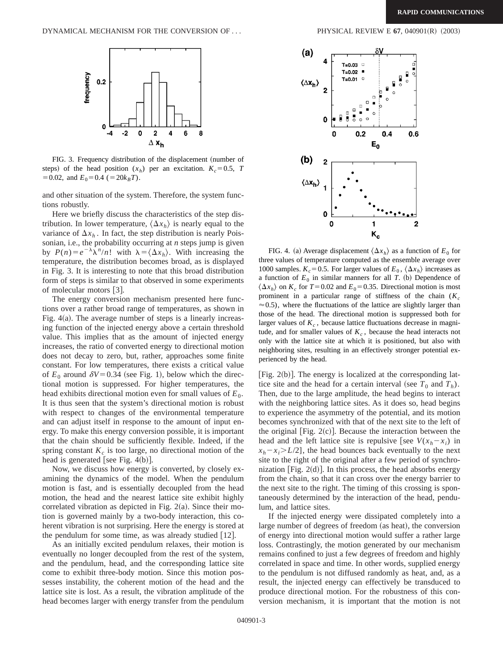

FIG. 3. Frequency distribution of the displacement (number of steps) of the head position  $(x_h)$  per an excitation.  $K_c = 0.5$ , *T*  $=0.02$ , and  $E_0=0.4$  ( $=20k_BT$ ).

and other situation of the system. Therefore, the system functions robustly.

Here we briefly discuss the characteristics of the step distribution. In lower temperature,  $\langle \Delta x_h \rangle$  is nearly equal to the variance of  $\Delta x_h$ . In fact, the step distribution is nearly Poissonian, i.e., the probability occurring at *n* steps jump is given by  $P(n) = e^{-\lambda} \lambda^n/n!$  with  $\lambda = \langle \Delta x_h \rangle$ . With increasing the temperature, the distribution becomes broad, as is displayed in Fig. 3. It is interesting to note that this broad distribution form of steps is similar to that observed in some experiments of molecular motors  $\lceil 3 \rceil$ .

The energy conversion mechanism presented here functions over a rather broad range of temperatures, as shown in Fig.  $4(a)$ . The average number of steps is a linearly increasing function of the injected energy above a certain threshold value. This implies that as the amount of injected energy increases, the ratio of converted energy to directional motion does not decay to zero, but, rather, approaches some finite constant. For low temperatures, there exists a critical value of  $E_0$  around  $\delta V = 0.34$  (see Fig. 1), below which the directional motion is suppressed. For higher temperatures, the head exhibits directional motion even for small values of  $E_0$ . It is thus seen that the system's directional motion is robust with respect to changes of the environmental temperature and can adjust itself in response to the amount of input energy. To make this energy conversion possible, it is important that the chain should be sufficiently flexible. Indeed, if the spring constant  $K_c$  is too large, no directional motion of the head is generated [see Fig.  $4(b)$ ].

Now, we discuss how energy is converted, by closely examining the dynamics of the model. When the pendulum motion is fast, and is essentially decoupled from the head motion, the head and the nearest lattice site exhibit highly correlated vibration as depicted in Fig.  $2(a)$ . Since their motion is governed mainly by a two-body interaction, this coherent vibration is not surprising. Here the energy is stored at the pendulum for some time, as was already studied  $|12|$ .

As an initially excited pendulum relaxes, their motion is eventually no longer decoupled from the rest of the system, and the pendulum, head, and the corresponding lattice site come to exhibit three-body motion. Since this motion possesses instability, the coherent motion of the head and the lattice site is lost. As a result, the vibration amplitude of the head becomes larger with energy transfer from the pendulum





FIG. 4. (a) Average displacement  $\langle \Delta x_h \rangle$  as a function of  $E_0$  for three values of temperature computed as the ensemble average over 1000 samples.  $K_c$ =0.5. For larger values of  $E_0$ ,  $\langle \Delta x_h \rangle$  increases as a function of  $E_0$  in similar manners for all *T*. (b) Dependence of  $\langle \Delta x_h \rangle$  on  $K_c$  for  $T=0.02$  and  $E_0=0.35$ . Directional motion is most prominent in a particular range of stiffness of the chain  $(K_c)$  $\approx$  0.5), where the fluctuations of the lattice are slightly larger than those of the head. The directional motion is suppressed both for larger values of  $K_c$ , because lattice fluctuations decrease in magnitude, and for smaller values of  $K_c$ , because the head interacts not only with the lattice site at which it is positioned, but also with neighboring sites, resulting in an effectively stronger potential experienced by the head.

[Fig.  $2(b)$ ]. The energy is localized at the corresponding lattice site and the head for a certain interval (see  $T_0$  and  $T_h$ ). Then, due to the large amplitude, the head begins to interact with the neighboring lattice sites. As it does so, head begins to experience the asymmetry of the potential, and its motion becomes synchronized with that of the next site to the left of the original [Fig.  $2(c)$ ]. Because the interaction between the head and the left lattice site is repulsive [see  $V(x_h - x_i)$  in  $x_h - x_i > L/2$ , the head bounces back eventually to the next site to the right of the original after a few period of synchronization [Fig.  $2(d)$ ]. In this process, the head absorbs energy from the chain, so that it can cross over the energy barrier to the next site to the right. The timing of this crossing is spontaneously determined by the interaction of the head, pendulum, and lattice sites.

If the injected energy were dissipated completely into a large number of degrees of freedom (as heat), the conversion of energy into directional motion would suffer a rather large loss. Contrastingly, the motion generated by our mechanism remains confined to just a few degrees of freedom and highly correlated in space and time. In other words, supplied energy to the pendulum is not diffused randomly as heat, and, as a result, the injected energy can effectively be transduced to produce directional motion. For the robustness of this conversion mechanism, it is important that the motion is not